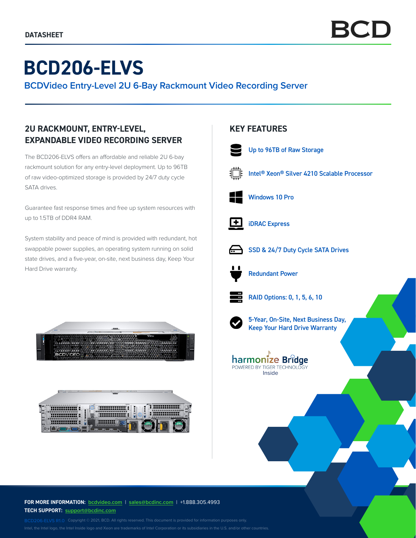# **BCD206-ELVS**

**BCDVideo Entry-Level 2U 6-Bay Rackmount Video Recording Server**

# **2U RACKMOUNT, ENTRY-LEVEL, EXPANDABLE VIDEO RECORDING SERVER**

The BCD206-ELVS offers an affordable and reliable 2U 6-bay rackmount solution for any entry-level deployment. Up to 96TB of raw video-optimized storage is provided by 24/7 duty cycle SATA drives.

Guarantee fast response times and free up system resources with up to 1.5TB of DDR4 RAM.

System stability and peace of mind is provided with redundant, hot swappable power supplies, an operating system running on solid state drives, and a five-year, on-site, next business day, Keep Your Hard Drive warranty.





# **KEY FEATURES**



Up to 96TB of Raw Storage



Intel® Xeon® Silver 4210 Scalable Processor



Windows 10 Pro



iDRAC Express



SSD & 24/7 Duty Cycle SATA Drives



Redundant Power



RAID Options: 0, 1, 5, 6, 10



5-Year, On-Site, Next Business Day, Keep Your Hard Drive Warranty



**FOR MORE INFORMATION: bcdvideo.com** | **[sales@bcdinc.com](mailto:sales%40bcdinc.com?subject=)** | +1.888.305.4993 **TECH SUPPORT: [support@bcdinc.com](mailto:support%40bcdinc.com?subject=)**

Intel, the Intel logo, the Intel Inside logo and Xeon are trademarks of Intel Corporation or its subsidiaries in the U.S. and/or other countries.